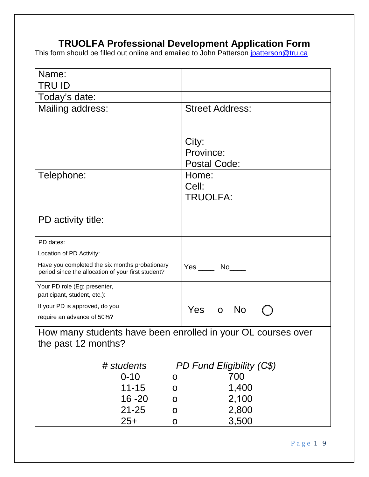## **TRUOLFA Professional Development Application Form**

This form should be filled out online and emailed to John Patterson jnatterson@tru.ca

| Name:                                                                                                |                           |
|------------------------------------------------------------------------------------------------------|---------------------------|
| TRU ID                                                                                               |                           |
| Today's date:                                                                                        |                           |
| Mailing address:                                                                                     | <b>Street Address:</b>    |
|                                                                                                      | City:                     |
|                                                                                                      | Province:                 |
|                                                                                                      | <b>Postal Code:</b>       |
| Telephone:                                                                                           | Home:                     |
|                                                                                                      | Cell:                     |
|                                                                                                      | <b>TRUOLFA:</b>           |
| PD activity title:                                                                                   |                           |
|                                                                                                      |                           |
| PD dates:                                                                                            |                           |
| Location of PD Activity:                                                                             |                           |
| Have you completed the six months probationary<br>period since the allocation of your first student? | $Yes \_\_ No \_\_$        |
| Your PD role (Eg: presenter,<br>participant, student, etc.):                                         |                           |
| If your PD is approved, do you                                                                       | Yes<br><b>No</b>          |
| require an advance of 50%?                                                                           |                           |
| How many students have been enrolled in your OL courses over                                         |                           |
| the past 12 months?                                                                                  |                           |
|                                                                                                      |                           |
| # students                                                                                           | PD Fund Eligibility (C\$) |
| $0 - 10$<br>$11 - 15$                                                                                | 700                       |
| $16 - 20$                                                                                            | 1,400<br>2,100            |
| $21 - 25$                                                                                            | 2,800                     |
| $25+$                                                                                                | 3,500                     |
|                                                                                                      |                           |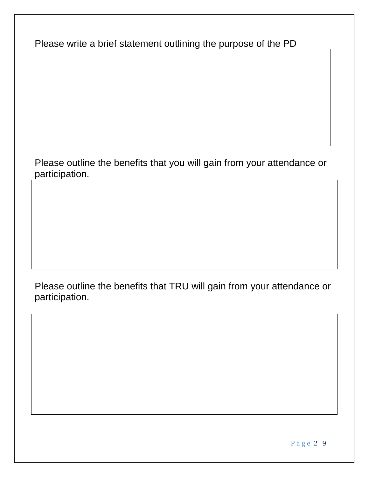Please write a brief statement outlining the purpose of the PD

## Please outline the benefits that you will gain from your attendance or participation.

Please outline the benefits that TRU will gain from your attendance or participation.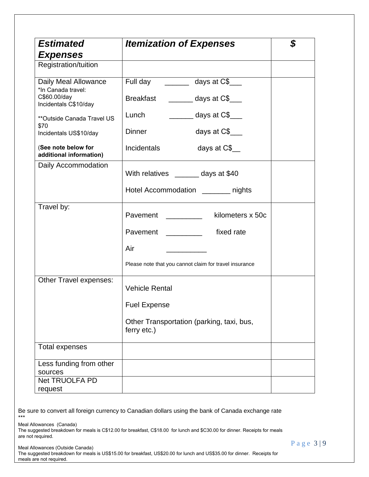| <b>Estimated</b>                               | <b>Itemization of Expenses</b>                           | \$ |
|------------------------------------------------|----------------------------------------------------------|----|
| <b>Expenses</b>                                |                                                          |    |
| Registration/tuition                           |                                                          |    |
| Daily Meal Allowance<br>*In Canada travel:     | Full day _________ days at C\$____                       |    |
| C\$60.00/day<br>Incidentals C\$10/day          | Breakfast ________ days at C\$___                        |    |
| ** Outside Canada Travel US                    | $\frac{1}{2}$ days at C\$<br>Lunch                       |    |
| \$70<br>Incidentals US\$10/day                 | days at $C$$<br><b>Dinner</b>                            |    |
| (See note below for<br>additional information) | <b>Incidentals</b><br>days at C\$                        |    |
| Daily Accommodation                            | With relatives _______ days at \$40                      |    |
|                                                | Hotel Accommodation ________ nights                      |    |
| Travel by:                                     | Pavement _________<br>kilometers x 50c                   |    |
|                                                | Pavement ______________ fixed rate                       |    |
|                                                | Air                                                      |    |
|                                                | Please note that you cannot claim for travel insurance   |    |
| Other Travel expenses:                         | <b>Vehicle Rental</b><br><b>Fuel Expense</b>             |    |
|                                                |                                                          |    |
|                                                | Other Transportation (parking, taxi, bus,<br>ferry etc.) |    |
| Total expenses                                 |                                                          |    |
| Less funding from other<br>sources             |                                                          |    |
| <b>Net TRUOLFA PD</b><br>request               |                                                          |    |

Be sure to convert all foreign currency to Canadian dollars using the bank of Canada exchange rate \*\*\*

Meal Allowances (Canada)

The suggested breakdown for meals is C\$12.00 for breakfast, C\$18.00 for lunch and \$C30.00 for dinner. Receipts for meals are not required.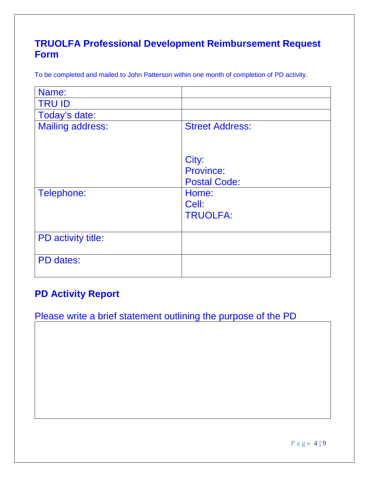# **TRUOLFA Professional Development Reimbursement Request Form**

To be completed and mailed to John Patterson within one month of completion of PD activity.

| Name:                   |                        |
|-------------------------|------------------------|
| <b>TRU ID</b>           |                        |
| Today's date:           |                        |
| <b>Mailing address:</b> | <b>Street Address:</b> |
|                         |                        |
|                         |                        |
|                         | City:                  |
|                         | <b>Province:</b>       |
|                         | <b>Postal Code:</b>    |
| Telephone:              | Home:                  |
|                         | Cell:                  |
|                         | <b>TRUOLFA:</b>        |
|                         |                        |
| PD activity title:      |                        |
|                         |                        |
| PD dates:               |                        |
|                         |                        |

# **PD Activity Report**

Please write a brief statement outlining the purpose of the PD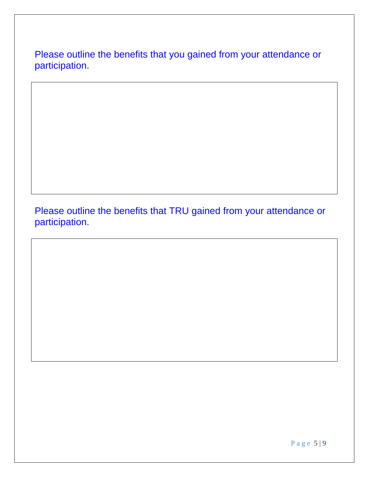Please outline the benefits that you gained from your attendance or participation.

Please outline the benefits that TRU gained from your attendance or participation.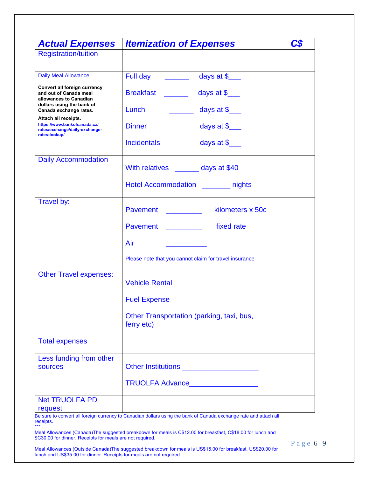| <b>Actual Expenses</b>                                                                                        | <b>Itemization of Expenses</b>                                            | C\$ |
|---------------------------------------------------------------------------------------------------------------|---------------------------------------------------------------------------|-----|
| <b>Registration/tuition</b>                                                                                   |                                                                           |     |
|                                                                                                               |                                                                           |     |
| <b>Daily Meal Allowance</b>                                                                                   | Full day _______<br>days at $\frac{1}{2}$                                 |     |
| Convert all foreign currency<br>and out of Canada meal<br>allowances to Canadian<br>dollars using the bank of | Breakfast _____<br>days at $\frac{1}{2}$                                  |     |
| Canada exchange rates.                                                                                        | Lunch<br>days at $\frac{1}{2}$<br>$\mathcal{L}^{\text{max}}_{\text{max}}$ |     |
| Attach all receipts.<br>https://www.bankofcanada.ca/<br>rates/exchange/daily-exchange-<br>rates-lookup/       | days at $\frac{1}{2}$<br><b>Dinner</b>                                    |     |
|                                                                                                               | days at $\frac{1}{2}$<br><b>Incidentals</b>                               |     |
| <b>Daily Accommodation</b>                                                                                    | With relatives ______ days at \$40                                        |     |
|                                                                                                               | Hotel Accommodation ______ nights                                         |     |
| Travel by:                                                                                                    |                                                                           |     |
|                                                                                                               | kilometers x 50c<br><b>Pavement Example 2014</b>                          |     |
|                                                                                                               | fixed rate<br><b>Pavement Example 2014</b>                                |     |
|                                                                                                               | Air                                                                       |     |
|                                                                                                               | Please note that you cannot claim for travel insurance                    |     |
| <b>Other Travel expenses:</b>                                                                                 | <b>Vehicle Rental</b>                                                     |     |
|                                                                                                               | <b>Fuel Expense</b>                                                       |     |
|                                                                                                               | Other Transportation (parking, taxi, bus,<br>ferry etc)                   |     |
| <b>Total expenses</b>                                                                                         |                                                                           |     |
| Less funding from other<br><b>sources</b>                                                                     | Other Institutions <u>_____________________</u>                           |     |
|                                                                                                               |                                                                           |     |
| <b>Net TRUOLFA PD</b><br>request                                                                              |                                                                           |     |

Be sure to convert all foreign currency to Canadian dollars using the bank of Canada exchange rate and attach all receipts.

\*\*\* Meal Allowances (Canada)The suggested breakdown for meals is C\$12.00 for breakfast, C\$18.00 for lunch and \$C30.00 for dinner. Receipts for meals are not required.

Meal Allowances (Outside Canada)The suggested breakdown for meals is US\$15.00 for breakfast, US\$20.00 for lunch and US\$35.00 for dinner. Receipts for meals are not required.

Page 6 | 9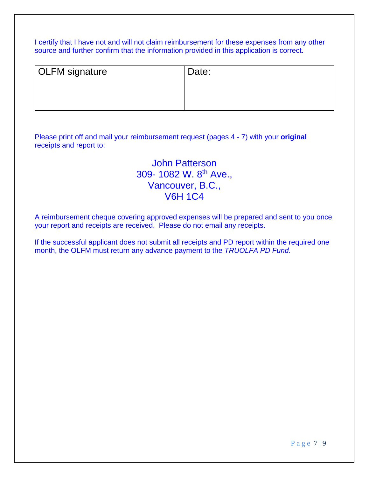I certify that I have not and will not claim reimbursement for these expenses from any other source and further confirm that the information provided in this application is correct.

| <b>OLFM</b> signature | Date: |
|-----------------------|-------|
|                       |       |
|                       |       |
|                       |       |

Please print off and mail your reimbursement request (pages 4 - 7) with your **original**  receipts and report to:

# John Patterson 309- 1082 W. 8<sup>th</sup> Ave., Vancouver, B.C., V6H 1C4

A reimbursement cheque covering approved expenses will be prepared and sent to you once your report and receipts are received. Please do not email any receipts.

If the successful applicant does not submit all receipts and PD report within the required one month, the OLFM must return any advance payment to the *TRUOLFA PD Fund*.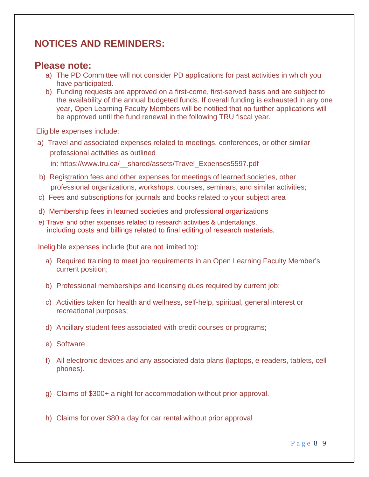# **NOTICES AND REMINDERS:**

#### **Please note:**

- a) The PD Committee will not consider PD applications for past activities in which you have participated.
- b) Funding requests are approved on a first-come, first-served basis and are subject to the availability of the annual budgeted funds. If overall funding is exhausted in any one year, Open Learning Faculty Members will be notified that no further applications will be approved until the fund renewal in the following TRU fiscal year.

Eligible expenses include:

- a) Travel and associated expenses related to meetings, conferences, or other similar professional activities as outlined in: https://www.tru.ca/\_\_shared/assets/Travel\_Expenses5597.pdf
- b) Registration fees and other expenses for meetings of learned societies, other professional organizations, workshops, courses, seminars, and similar activities;
- c) Fees and subscriptions for journals and books related to your subject area
- d) Membership fees in learned societies and professional organizations
- including costs and billings related to final editing of research materials. e) Travel and other expenses related to research activities & undertakings,

Ineligible expenses include (but are not limited to):

- a) Required training to meet job requirements in an Open Learning Faculty Member's current position;
- b) Professional memberships and licensing dues required by current job;
- c) Activities taken for health and wellness, self-help, spiritual, general interest or recreational purposes;
- d) Ancillary student fees associated with credit courses or programs;
- e) Software
- f) All electronic devices and any associated data plans (laptops, e-readers, tablets, cell phones).
- g) Claims of \$300+ a night for accommodation without prior approval.
- h) Claims for over \$80 a day for car rental without prior approval